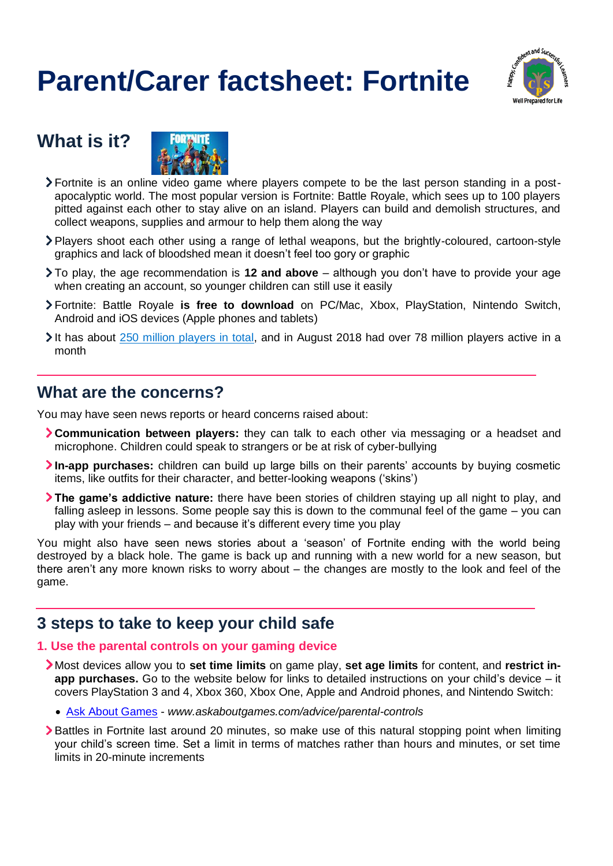# **Parent/Carer factsheet: Fortnite**



## **What is it?**



- Fortnite is an online video game where players compete to be the last person standing in a postapocalyptic world. The most popular version is Fortnite: Battle Royale, which sees up to 100 players pitted against each other to stay alive on an island. Players can build and demolish structures, and collect weapons, supplies and armour to help them along the way
- Players shoot each other using a range of lethal weapons, but the brightly-coloured, cartoon-style graphics and lack of bloodshed mean it doesn't feel too gory or graphic
- To play, the age recommendation is **12 and above** although you don't have to provide your age when creating an account, so younger children can still use it easily
- Fortnite: Battle Royale **is free to download** on PC/Mac, Xbox, PlayStation, Nintendo Switch, Android and iOS devices (Apple phones and tablets)
- It has about [250 million players in total,](https://www.gamesradar.com/uk/how-many-people-play-fortnite/) and in August 2018 had over 78 million players active in a month

### **What are the concerns?**

You may have seen news reports or heard concerns raised about:

- **Communication between players:** they can talk to each other via messaging or a headset and microphone. Children could speak to strangers or be at risk of cyber-bullying
- **In-app purchases:** children can build up large bills on their parents' accounts by buying cosmetic items, like outfits for their character, and better-looking weapons ('skins')
- **The game's addictive nature:** there have been stories of children staying up all night to play, and falling asleep in lessons. Some people say this is down to the communal feel of the game – you can play with your friends – and because it's different every time you play

You might also have seen news stories about a 'season' of Fortnite ending with the world being destroyed by a black hole. The game is back up and running with a new world for a new season, but there aren't any more known risks to worry about – the changes are mostly to the look and feel of the game.

## **3 steps to take to keep your child safe**

#### **1. Use the parental controls on your gaming device**

- Most devices allow you to **set time limits** on game play, **set age limits** for content, and **restrict inapp purchases.** Go to the website below for links to detailed instructions on your child's device – it covers PlayStation 3 and 4, Xbox 360, Xbox One, Apple and Android phones, and Nintendo Switch:
	- [Ask About Games](http://www.askaboutgames.com/advice/parental-controls) *www.askaboutgames.com/advice/parental-controls*
- > Battles in Fortnite last around 20 minutes, so make use of this natural stopping point when limiting your child's screen time. Set a limit in terms of matches rather than hours and minutes, or set time limits in 20-minute increments